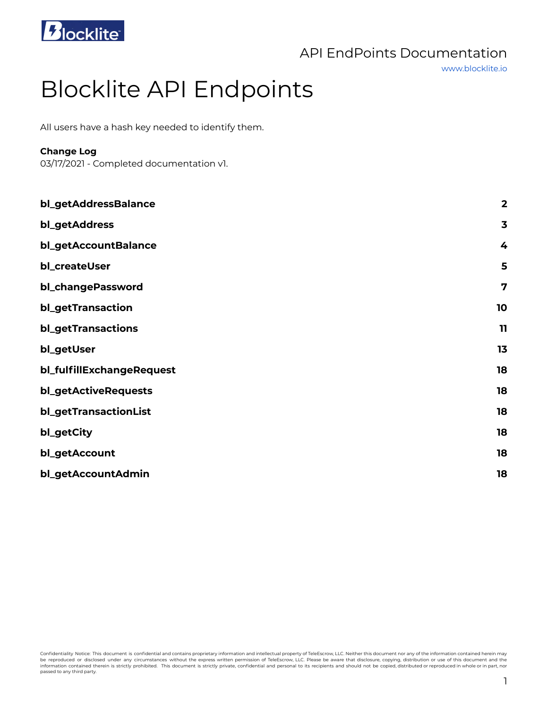

www.blocklite.io

# Blocklite API Endpoints

All users have a hash key needed to identify them.

# **Change Log**

03/17/2021 - Completed documentation v1.

| bl_getAddressBalance      | $\overline{\mathbf{2}}$ |
|---------------------------|-------------------------|
| bl_getAddress             | $\overline{\mathbf{3}}$ |
| bl_getAccountBalance      | 4                       |
| bl_createUser             | 5                       |
| bl_changePassword         | $\overline{7}$          |
| bl_getTransaction         | 10                      |
| bl_getTransactions        | $\mathbf{11}$           |
| bl_getUser                | 13                      |
| bl_fulfillExchangeRequest | 18                      |
| bl_getActiveRequests      | 18                      |
| bl_getTransactionList     | 18                      |
| bl_getCity                | 18                      |
| bl_getAccount             | 18                      |
| bl_getAccountAdmin        | 18                      |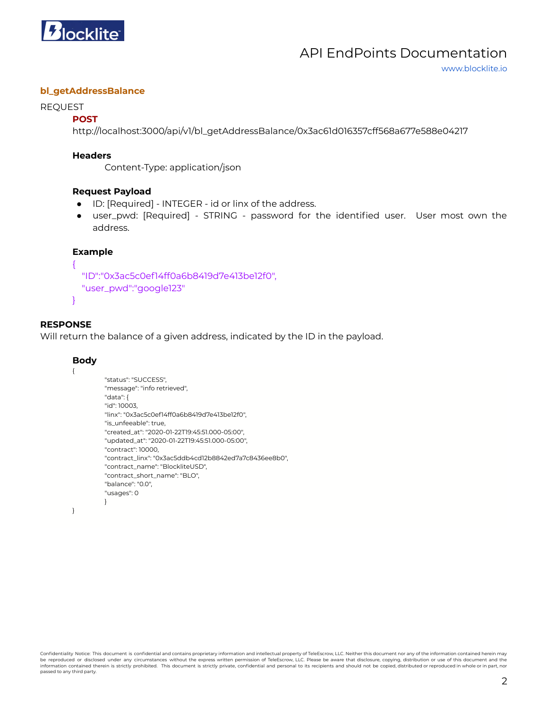

www.blocklite.io

### <span id="page-1-0"></span>**bl\_getAddressBalance**

#### REQUEST

### **POST**

http://localhost:3000/api/v1/bl\_getAddressBalance/0x3ac61d016357cff568a677e588e04217

#### **Headers**

Content-Type: application/json

#### **Request Payload**

- ID: [Required] INTEGER id or linx of the address.
- user\_pwd: [Required] STRING password for the identified user. User most own the address.

#### **Example**

```
{
  "ID":"0x3ac5c0ef14ff0a6b8419d7e413be12f0",
  "user_pwd":"google123"
}
```
# **RESPONSE**

Will return the balance of a given address, indicated by the ID in the payload.

#### **Body**

{

```
"status": "SUCCESS",
"message": "info retrieved",
"data": {
"id": 10003,
"linx": "0x3ac5c0ef14ff0a6b8419d7e413be12f0",
"is_unfeeable": true,
"created_at": "2020-01-22T19:45:51.000-05:00",
"updated_at": "2020-01-22T19:45:51.000-05:00",
"contract": 10000,
"contract_linx": "0x3ac5ddb4cd12b8842ed7a7c8436ee8b0",
"contract_name": "BlockliteUSD",
"contract_short_name": "BLO",
"balance": "0.0",
"usages": 0
}
```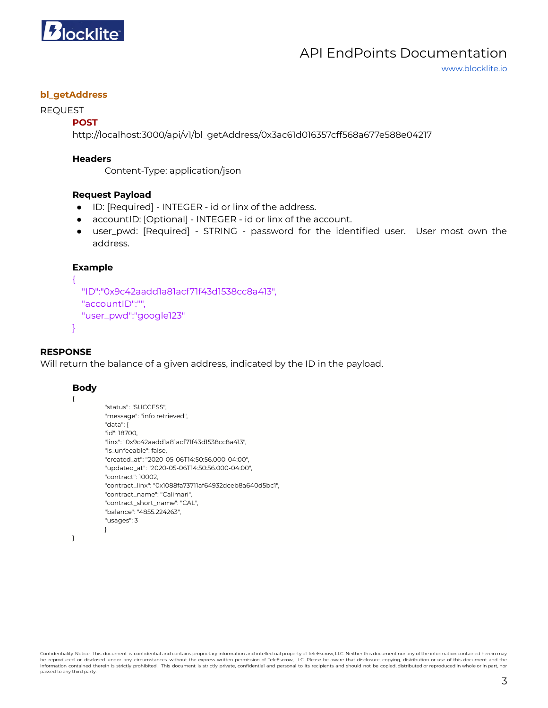

www.blocklite.io

### <span id="page-2-0"></span>**bl\_getAddress**

#### REQUEST

#### **POST**

http://localhost:3000/api/v1/bl\_getAddress/0x3ac61d016357cff568a677e588e04217

#### **Headers**

Content-Type: application/json

#### **Request Payload**

- ID: [Required] INTEGER id or linx of the address.
- accountID: [Optional] INTEGER id or linx of the account.
- user\_pwd: [Required] STRING password for the identified user. User most own the address.

#### **Example**

```
{
 "ID":"0x9c42aadd1a81acf71f43d1538cc8a413",
 "accountID":"",
 "user_pwd":"google123"
```

```
}
```
#### **RESPONSE**

Will return the balance of a given address, indicated by the ID in the payload.

#### **Body**

{

```
"status": "SUCCESS",
"message": "info retrieved",
"data": {
"id": 18700,
"linx": "0x9c42aadd1a81acf71f43d1538cc8a413",
"is_unfeeable": false,
"created_at": "2020-05-06T14:50:56.000-04:00",
"updated_at": "2020-05-06T14:50:56.000-04:00",
"contract": 10002,
"contract_linx": "0x1088fa73711af64932dceb8a640d5bc1",
"contract_name": "Calimari",
"contract_short_name": "CAL",
"balance": "4855.224263",
"usages": 3
}
```

```
}
```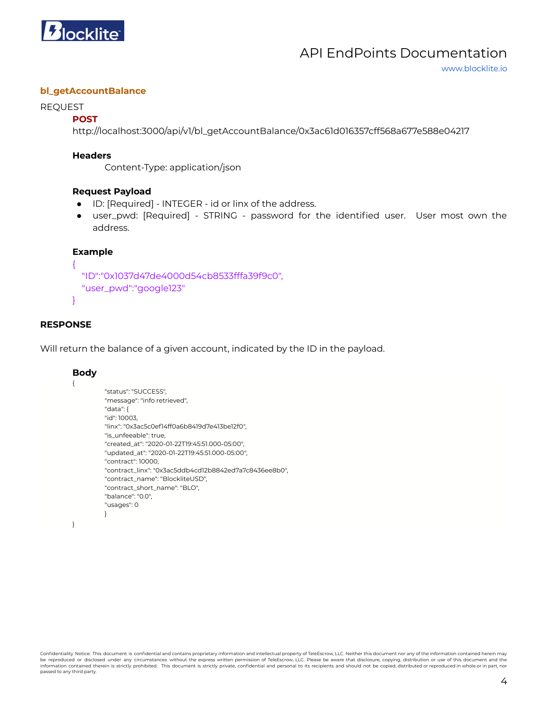

www.blocklite.io

### <span id="page-3-0"></span>**bl\_getAccountBalance**

#### REQUEST

### **POST**

http://localhost:3000/api/v1/bl\_getAccountBalance/0x3ac61d016357cff568a677e588e04217

#### **Headers**

Content-Type: application/json

#### **Request Payload**

- ID: [Required] INTEGER id or linx of the address.
- user\_pwd: [Required] STRING password for the identified user. User most own the address.

#### **Example**

```
{
 "ID":"0x1037d47de4000d54cb8533fffa39f9c0",
 "user_pwd":"google123"
}
```
# **RESPONSE**

Will return the balance of a given account, indicated by the ID in the payload.

#### **Body**

```
{
```

```
"status": "SUCCESS",
"message": "info retrieved",
"data": {
"id": 10003,
"linx": "0x3ac5c0ef14ff0a6b8419d7e413be12f0",
"is_unfeeable": true,
"created_at": "2020-01-22T19:45:51.000-05:00",
"updated_at": "2020-01-22T19:45:51.000-05:00",
"contract": 10000,
"contract_linx": "0x3ac5ddb4cd12b8842ed7a7c8436ee8b0",
"contract_name": "BlockliteUSD",
"contract_short_name": "BLO",
"balance": "0.0",
"usages": 0
}
```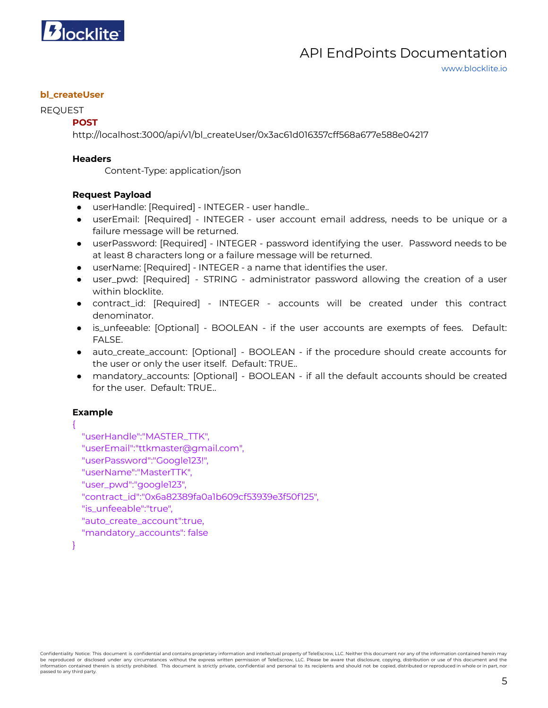

www.blocklite.io

# <span id="page-4-0"></span>**bl\_createUser**

### REQUEST

# **POST**

http://localhost:3000/api/v1/bl\_createUser/0x3ac61d016357cff568a677e588e04217

### **Headers**

Content-Type: application/json

# **Request Payload**

- userHandle: [Required] INTEGER user handle..
- userEmail: [Required] INTEGER user account email address, needs to be unique or a failure message will be returned.
- userPassword: [Required] INTEGER password identifying the user. Password needs to be at least 8 characters long or a failure message will be returned.
- userName: [Required] INTEGER a name that identifies the user.
- user\_pwd: [Required] STRING administrator password allowing the creation of a user within blocklite.
- contract\_id: [Required] INTEGER accounts will be created under this contract denominator.
- is\_unfeeable: [Optional] BOOLEAN if the user accounts are exempts of fees. Default: FALSE.
- auto\_create\_account: [Optional] BOOLEAN if the procedure should create accounts for the user or only the user itself. Default: TRUE..
- mandatory\_accounts: [Optional] BOOLEAN if all the default accounts should be created for the user. Default: TRUE..

# **Example**

# {

"userHandle":"MASTER\_TTK", "userEmail":"ttkmaster@gmail.com", "userPassword":"Google123!", "userName":"MasterTTK", "user\_pwd":"google123", "contract\_id":"0x6a82389fa0a1b609cf53939e3f50f125", "is\_unfeeable":"true", "auto\_create\_account":true, "mandatory\_accounts": false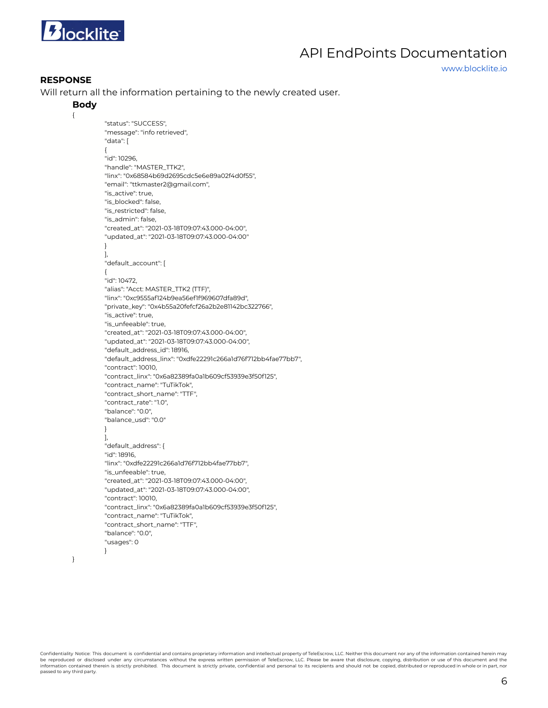

www.blocklite.io

#### **RESPONSE**

Will return all the information pertaining to the newly created user.

#### **Body**

{

```
"status": "SUCCESS",
"message": "info retrieved",
"data": [
{
"id": 10296,
"handle": "MASTER_TTK2",
"linx": "0x68584b69d2695cdc5e6e89a02f4d0f55",
"email": "ttkmaster2@gmail.com",
"is_active": true,
"is_blocked": false,
"is_restricted": false
"is_admin": false,
"created_at": "2021-03-18T09:07:43.000-04:00",
"updated_at": "2021-03-18T09:07:43.000-04:00"
}
],
"default_account": [
{
"id": 10472,
"alias": "Acct: MASTER_TTK2 (TTF)",
"linx": "0xc9555af124b9ea56ef1f969607dfa89d",
"private_key": "0x4b55a20fefcf26a2b2e81142bc322766",
"is_active": true,
"is_unfeeable": true,
"created_at": "2021-03-18T09:07:43.000-04:00",
"updated_at": "2021-03-18T09:07:43.000-04:00",
"default_address_id": 18916,
"default_address_linx": "0xdfe22291c266a1d76f712bb4fae77bb7",
"contract": 10010,
"contract_linx": "0x6a82389fa0a1b609cf53939e3f50f125",
"contract_name": "TuTikTok",
"contract_short_name": "TTF",
"contract_rate": "1.0",
"balance": "0.0",
"balance_usd": "0.0"
}
],
"default_address": {
"id": 18916,
"linx": "0xdfe22291c266a1d76f712bb4fae77bb7",
"is_unfeeable": true,
"created_at": "2021-03-18T09:07:43.000-04:00",
"updated_at": "2021-03-18T09:07:43.000-04:00",
"contract": 10010,
"contract_linx": "0x6a82389fa0a1b609cf53939e3f50f125",
"contract_name": "TuTikTok",
"contract_short_name": "TTF",
"balance": "0.0",
"usages": 0
}
```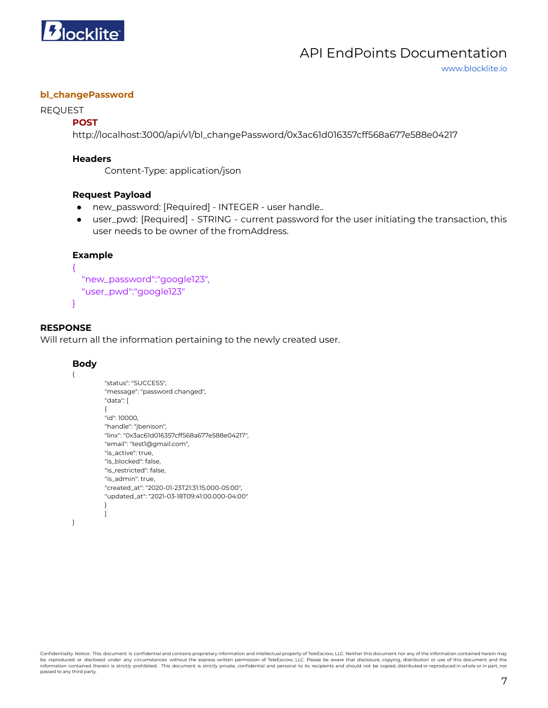

www.blocklite.io

### <span id="page-6-0"></span>**bl\_changePassword**

#### REQUEST

### **POST**

http://localhost:3000/api/v1/bl\_changePassword/0x3ac61d016357cff568a677e588e04217

#### **Headers**

Content-Type: application/json

#### **Request Payload**

- new\_password: [Required] INTEGER user handle..
- user\_pwd: [Required] STRING current password for the user initiating the transaction, this user needs to be owner of the fromAddress.

#### **Example**

{

}

```
"new_password":"google123",
"user_pwd":"google123"
```
### **RESPONSE**

Will return all the information pertaining to the newly created user.

#### **Body**

{

}

```
"status": "SUCCESS",
"message": "password changed",
"data": [
{
"id": 10000,
"handle": "jbenison",
"linx": "0x3ac61d016357cff568a677e588e04217",
"email": "test1@gmail.com",
"is_active": true,
"is_blocked": false,
"is_restricted": false,
"is_admin": true,
"created_at": "2020-01-23T21:31:15.000-05:00",
"updated_at": "2021-03-18T09:41:00.000-04:00"
}
]
```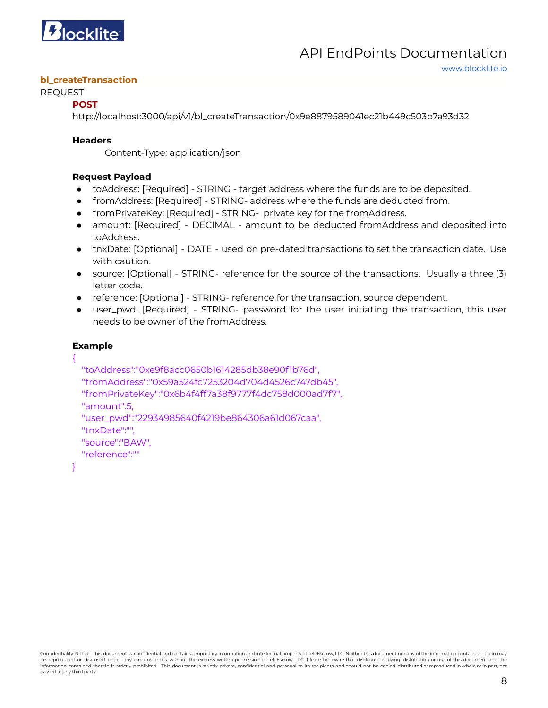

www.blocklite.io

#### **bl\_createTransaction**

### REQUEST

### **POST**

http://localhost:3000/api/v1/bl\_createTransaction/0x9e8879589041ec21b449c503b7a93d32

### **Headers**

Content-Type: application/json

# **Request Payload**

- toAddress: [Required] STRING target address where the funds are to be deposited.
- fromAddress: [Required] STRING- address where the funds are deducted from.
- fromPrivateKey: [Required] STRING- private key for the fromAddress.
- amount: [Required] DECIMAL amount to be deducted fromAddress and deposited into toAddress.
- tnxDate: [Optional] DATE used on pre-dated transactions to set the transaction date. Use with caution.
- source: [Optional] STRING- reference for the source of the transactions. Usually a three (3) letter code.
- reference: [Optional] STRING- reference for the transaction, source dependent.
- user\_pwd: [Required] STRING- password for the user initiating the transaction, this user needs to be owner of the fromAddress.

# **Example**

{

```
"toAddress":"0xe9f8acc0650b1614285db38e90f1b76d",
"fromAddress":"0x59a524fc7253204d704d4526c747db45",
"fromPrivateKey":"0x6b4f4ff7a38f9777f4dc758d000ad7f7",
"amount":5,
"user_pwd":"22934985640f4219be864306a61d067caa",
"tnxDate":"",
"source":"BAW",
"reference":""
```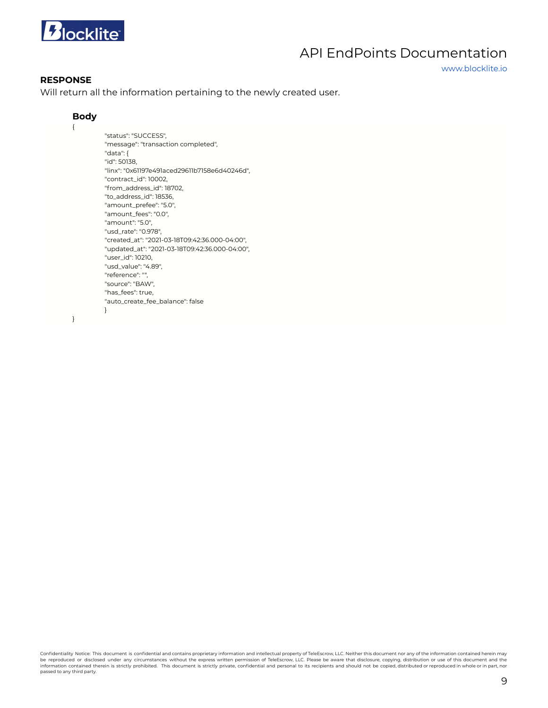

www.blocklite.io

#### **RESPONSE**

Will return all the information pertaining to the newly created user.

#### **Body**

{

```
"status": "SUCCESS",
"message": "transaction completed",
"data": {
"id": 50138,
"linx": "0x61197e491aced29611b7158e6d40246d",
"contract_id": 10002,
"from_address_id": 18702,
"to_address_id": 18536,
"amount_prefee": "5.0",
"amount_fees": "0.0",
"amount": "5.0",
"usd_rate": "0.978",
"created_at": "2021-03-18T09:42:36.000-04:00",
"updated_at": "2021-03-18T09:42:36.000-04:00",
"user_id": 10210,
"usd_value": "4.89",
"reference": "",
"source": "BAW",
"has_fees": true,
"auto_create_fee_balance": false
}
```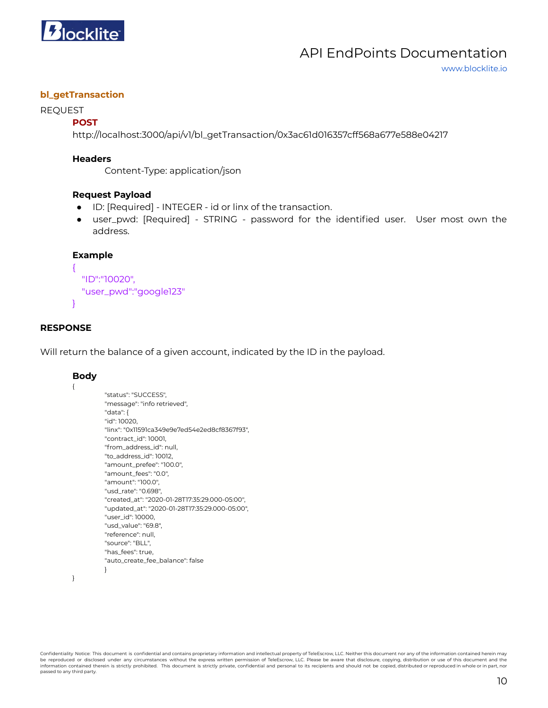

www.blocklite.io

### <span id="page-9-0"></span>**bl\_getTransaction**

#### REQUEST

#### **POST**

http://localhost:3000/api/v1/bl\_getTransaction/0x3ac61d016357cff568a677e588e04217

#### **Headers**

Content-Type: application/json

#### **Request Payload**

- ID: [Required] INTEGER id or linx of the transaction.
- user\_pwd: [Required] STRING password for the identified user. User most own the address.

#### **Example**

```
"ID":"10020",
"user_pwd":"google123"
```
### **RESPONSE**

{

}

Will return the balance of a given account, indicated by the ID in the payload.

#### **Body**

{

}

```
"status": "SUCCESS",
"message": "info retrieved",
"data": {
"id": 10020,
"linx": "0x11591ca349e9e7ed54e2ed8cf8367f93",
"contract_id": 10001,
"from_address_id": null,
"to_address_id": 10012,
"amount_prefee": "100.0",
"amount_fees": "0.0",
"amount": "100.0",
"usd_rate": "0.698",
"created_at": "2020-01-28T17:35:29.000-05:00",
"updated_at": "2020-01-28T17:35:29.000-05:00",
"user_id": 10000,
"usd_value": "69.8",
"reference": null,
"source": "BLL",
"has_fees": true,
"auto_create_fee_balance": false
}
```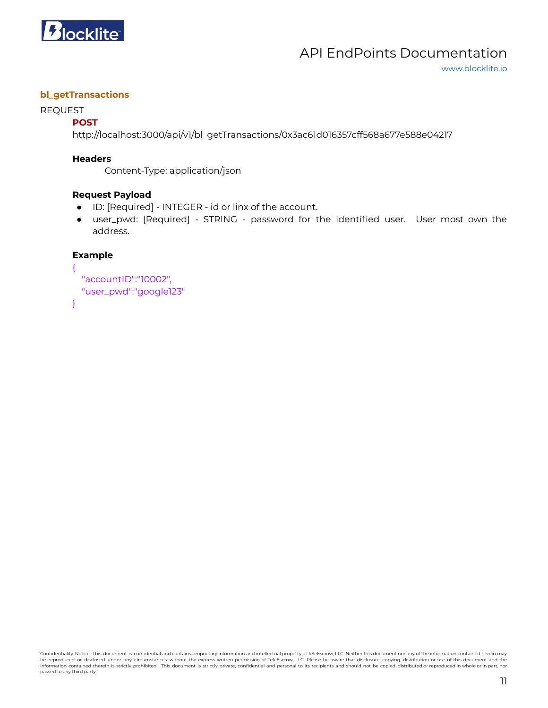

www.blocklite.io

### <span id="page-10-0"></span>**bl\_getTransactions**

#### REQUEST

# **POST**

http://localhost:3000/api/v1/bl\_getTransactions/0x3ac61d016357cff568a677e588e04217

#### **Headers**

Content-Type: application/json

#### **Request Payload**

- ID: [Required] INTEGER id or linx of the account.
- user\_pwd: [Required] STRING password for the identified user. User most own the address.

# **Example**

```
{
  "accountID":"10002",
  "user_pwd":"google123"
}
```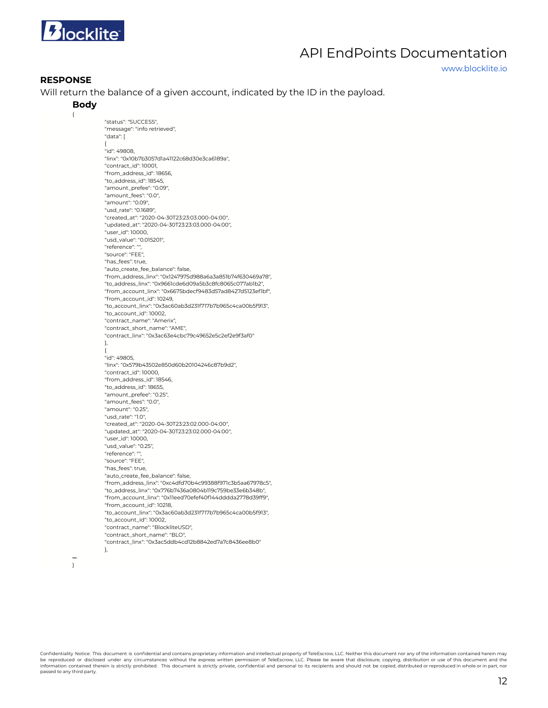

www.blocklite.io

#### **RESPONSE**

Will return the balance of a given account, indicated by the ID in the payload.

#### **Body**

{

"status": "SUCCESS", "message": "info retrieved", "data": [ { "id": 49808, "linx": "0x10b7b3057d1a41122c68d30e3ca6189a", "contract\_id": 10001, "from\_address\_id": 18656, "to\_address\_id": 18545, "amount\_prefee": "0.09", "amount\_fees": "0.0", "amount": "0.09", "usd\_rate": "0.1689", "created\_at": "2020-04-30T23:23:03.000-04:00", "updated\_at": "2020-04-30T23:23:03.000-04:00", "user\_id": 10000, "usd\_value": "0.015201", "reference": "", "source": "FEE", "has\_fees": true, "auto\_create\_fee\_balance": false, "from\_address\_linx": "0x1247975d988a6a3a851b74f630469a78", "to\_address\_linx": "0x9661cde6d09a5b3c8fc8065c077ab1b2", "from\_account\_linx": "0x6675bdecf9483d57ad8427d5123ef1bf", "from\_account\_id": 10249, "to\_account\_linx": "0x3ac60ab3d231f717b7b965c4ca00b5f913", "to\_account\_id": 10002, "contract\_name": "Amerix", "contract\_short\_name": "AME", "contract\_linx": "0x3ac63e4cbc79c49652e5c2ef2e9f3af0" }, { "id": 49805, "linx": "0x579b43502e850d60b20104246c87b9d2", "contract\_id": 10000, "from\_address\_id": 18546, "to\_address\_id": 18655, "amount\_prefee": "0.25", "amount\_fees": "0.0", "amount": "0.25", "usd\_rate": "1.0", "created\_at": "2020-04-30T23:23:02.000-04:00", "updated\_at": "2020-04-30T23:23:02.000-04:00", "user\_id": 10000, "usd\_value": "0.25", "reference": "", "source": "FEE", "has\_fees": true, "auto\_create\_fee\_balance": false, "from\_address\_linx": "0xc4dfd70b4c99388f971c3b5aa67978c5", "to\_address\_linx": "0x776b7436a0804b119c759be33e6b348b", "from\_account\_linx": "0x11eed70efef40f144dddda2778d39ff9", "from\_account\_id": 10218, "to\_account\_linx": "0x3ac60ab3d231f717b7b965c4ca00b5f913", "to\_account\_id": 10002, "contract\_name": "BlockliteUSD", "contract\_short\_name": "BLO", "contract\_linx": "0x3ac5ddb4cd12b8842ed7a7c8436ee8b0" },

**…** }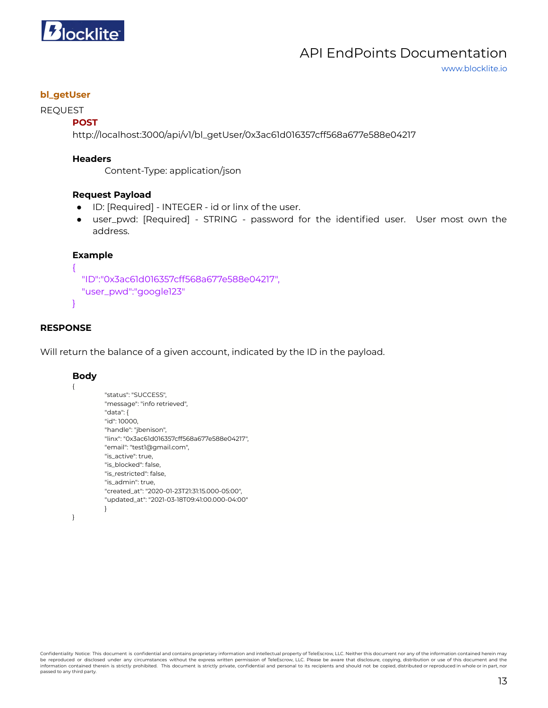

www.blocklite.io

### <span id="page-12-0"></span>**bl\_getUser**

### REQUEST

### **POST**

http://localhost:3000/api/v1/bl\_getUser/0x3ac61d016357cff568a677e588e04217

#### **Headers**

Content-Type: application/json

#### **Request Payload**

- ID: [Required] INTEGER id or linx of the user.
- user\_pwd: [Required] STRING password for the identified user. User most own the address.

# **Example**

```
"ID":"0x3ac61d016357cff568a677e588e04217",
"user_pwd":"google123"
```
### **RESPONSE**

{

}

Will return the balance of a given account, indicated by the ID in the payload.

#### **Body**

{

```
"status": "SUCCESS",
"message": "info retrieved",
"data": {
"id": 10000,
"handle": "jbenison",
"linx": "0x3ac61d016357cff568a677e588e04217",
"email": "test1@gmail.com",
"is_active": true,
"is_blocked": false,
"is_restricted": false,
"is_admin": true,
"created_at": "2020-01-23T21:31:15.000-05:00",
"updated_at": "2021-03-18T09:41:00.000-04:00"
}
```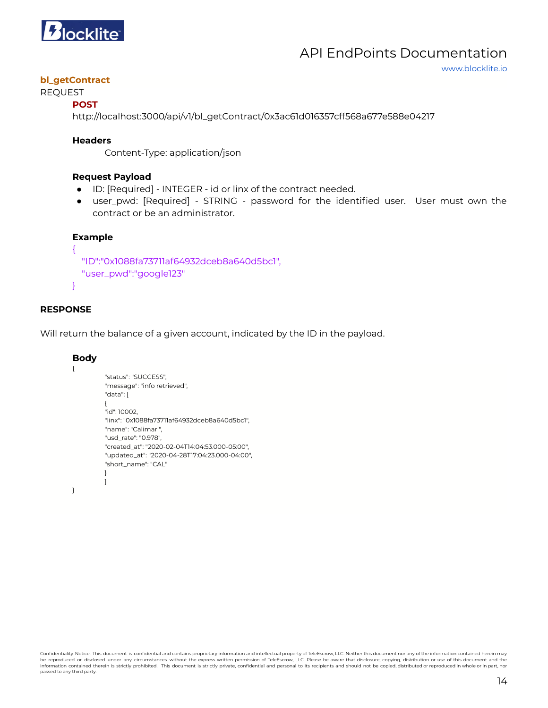

www.blocklite.io

# **bl\_getContract**

# REQUEST

# **POST**

http://localhost:3000/api/v1/bl\_getContract/0x3ac61d016357cff568a677e588e04217

### **Headers**

Content-Type: application/json

#### **Request Payload**

- ID: [Required] INTEGER id or linx of the contract needed.
- user\_pwd: [Required] STRING password for the identified user. User must own the contract or be an administrator.

### **Example**

```
"ID":"0x1088fa73711af64932dceb8a640d5bc1",
"user_pwd":"google123"
```
# **RESPONSE**

{

}

Will return the balance of a given account, indicated by the ID in the payload.

#### **Body**

{

}

```
"status": "SUCCESS",
"message": "info retrieved",
"data": [
{
"id": 10002,
"linx": "0x1088fa73711af64932dceb8a640d5bc1",
"name": "Calimari",
"usd_rate": "0.978",
"created_at": "2020-02-04T14:04:53.000-05:00",
"updated_at": "2020-04-28T17:04:23.000-04:00",
"short_name": "CAL"
}
]
```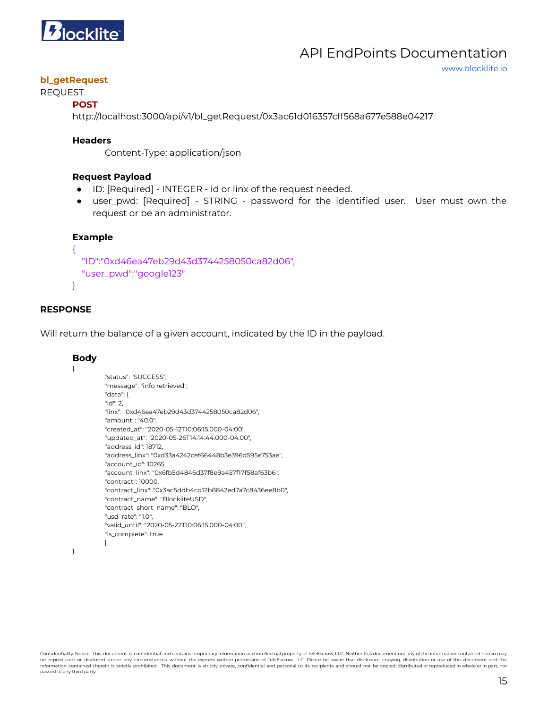

```
www.blocklite.io
```
# **bl\_getRequest**

# REQUEST

**POST**

http://localhost:3000/api/v1/bl\_getRequest/0x3ac61d016357cff568a677e588e04217

#### **Headers**

Content-Type: application/json

### **Request Payload**

- ID: [Required] INTEGER id or linx of the request needed.
- user\_pwd: [Required] STRING password for the identified user. User must own the request or be an administrator.

### **Example**

```
{
 "ID":"0xd46ea47eb29d43d3744258050ca82d06",
 "user_pwd":"google123"
```
# **RESPONSE**

}

Will return the balance of a given account, indicated by the ID in the payload.

#### **Body**

```
{
```

```
"status": "SUCCESS",
"message": "info retrieved",
"data": {
"id": 2,
"linx": "0xd46ea47eb29d43d3744258050ca82d06",
"amount": "40.0",
"created_at": "2020-05-12T10:06:15.000-04:00",
"updated_at": "2020-05-26T14:14:44.000-04:00",
"address_id": 18712,
"address_linx": "0xd33a4242cef66448b3e396d595e753ae",
"account_id": 10265,
"account_linx": "0x6fb5d4846d37f8e9a457f17f58af63b6",
"contract": 10000,
"contract_linx": "0x3ac5ddb4cd12b8842ed7a7c8436ee8b0",
"contract_name": "BlockliteUSD",
"contract_short_name": "BLO",
"usd_rate": "1.0",
"valid_until": "2020-05-22T10:06:15.000-04:00",
"is_complete": true
}
```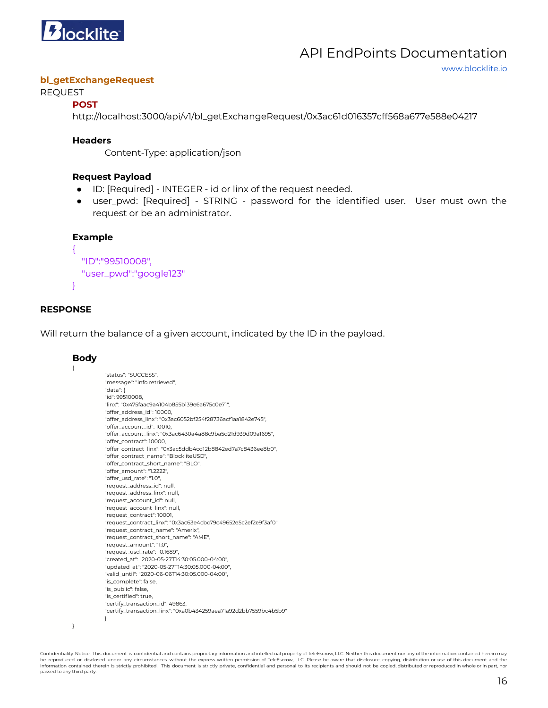

#### **bl\_getExchangeRequest**

# REQUEST

# **POST**

http://localhost:3000/api/v1/bl\_getExchangeRequest/0x3ac61d016357cff568a677e588e04217

#### **Headers**

Content-Type: application/json

### **Request Payload**

- ID: [Required] INTEGER id or linx of the request needed.
- user\_pwd: [Required] STRING password for the identified user. User must own the request or be an administrator.

# **Example**

```
"ID":"99510008",
"user_pwd":"google123"
```
# **RESPONSE**

{

}

Will return the balance of a given account, indicated by the ID in the payload.

#### **Body**

{

```
"status": "SUCCESS",
"message": "info retrieved",
"data": {
"id": 99510008,
"linx": "0x475faac9a4104b855b139e6a675c0e71",
"offer_address_id": 10000,
"offer_address_linx": "0x3ac6052bf254f28736acf1aa1842e745",
"offer_account_id": 10010,
"offer_account_linx": "0x3ac6430a4a88c9ba5d21d939d09a1695",
"offer_contract": 10000,
"offer_contract_linx": "0x3ac5ddb4cd12b8842ed7a7c8436ee8b0",
"offer_contract_name": "BlockliteUSD",
"offer_contract_short_name": "BLO",
"offer_amount": "1.2222",
"offer_usd_rate": "1.0",
"request_address_id": null,
"request_address_linx": null,
"request_account_id": null,
"request_account_linx": null,
"request_contract": 10001,
"request_contract_linx": "0x3ac63e4cbc79c49652e5c2ef2e9f3af0",
"request_contract_name": "Amerix",
"request_contract_short_name": "AME",
"request_amount": "1.0",
"request_usd_rate": "0.1689",
"created_at": "2020-05-27T14:30:05.000-04:00",
"updated_at": "2020-05-27T14:30:05.000-04:00",
"valid_until": "2020-06-06T14:30:05.000-04:00",
"is_complete": false,
"is_public": false,
"is_certified": true,
"certify_transaction_id": 49863,
"certify_transaction_linx": "0xa0b434259aea71a92d2bb7559bc4b5b9"
}
```
Confidentiality Notice: This document is confidential and contains proprietary information and intellectual property of TeleEscrow, LLC. Neither this document nor any of the information contained herein may be reproduced or disclosed under any circumstances without the express written permission of TeleEscrow, LLC. Please be aware that disclosure, copying, distribution or use of this document and the<br>information contained the passed to any third party.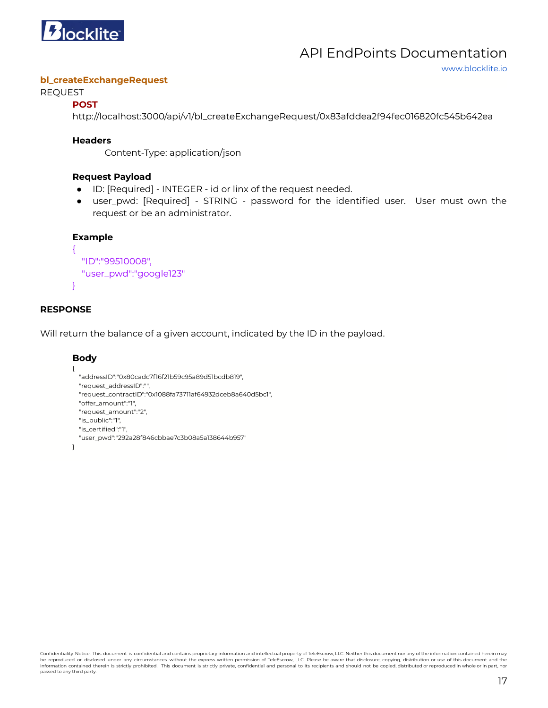

#### **bl\_createExchangeRequest**

#### REQUEST

### **POST**

http://localhost:3000/api/v1/bl\_createExchangeRequest/0x83afddea2f94fec016820fc545b642ea

### **Headers**

Content-Type: application/json

# **Request Payload**

- ID: [Required] INTEGER id or linx of the request needed.
- user\_pwd: [Required] STRING password for the identified user. User must own the request or be an administrator.

# **Example**

```
"ID":"99510008",
"user_pwd":"google123"
```
# **RESPONSE**

{

}

Will return the balance of a given account, indicated by the ID in the payload.

```
Body
{
```

```
"addressID":"0x80cadc7f16f21b59c95a89d51bcdb819",
  "request_addressID":"",
  "request_contractID":"0x1088fa73711af64932dceb8a640d5bc1",
  "offer_amount":"1",
  "request_amount":"2",
  "is_public":"1",
  "is_certified":"1",
  "user_pwd":"292a28f846cbbae7c3b08a5a138644b957"
}
```